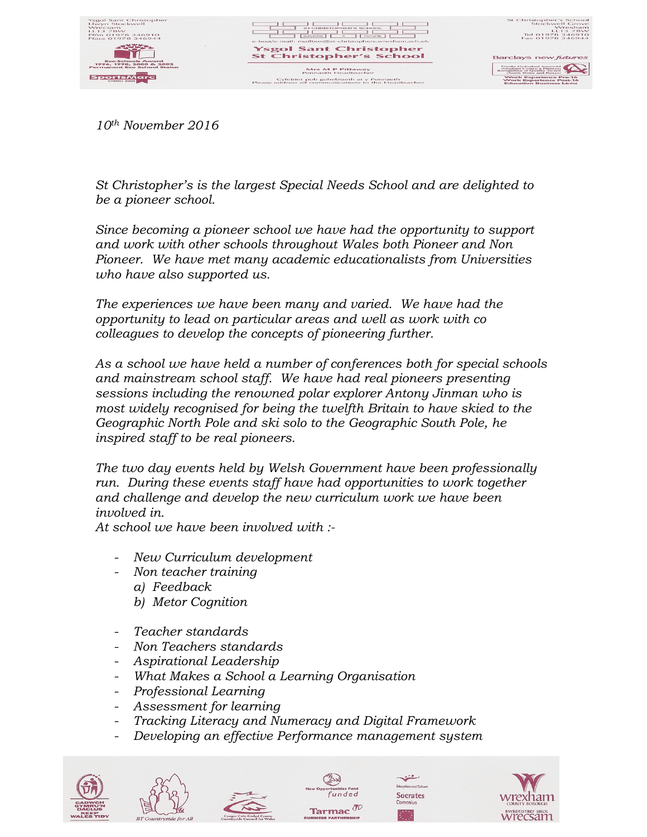

*10th November 2016*

*St Christopher's is the largest Special Needs School and are delighted to be a pioneer school.*

*Since becoming a pioneer school we have had the opportunity to support and work with other schools throughout Wales both Pioneer and Non Pioneer. We have met many academic educationalists from Universities who have also supported us.* 

*The experiences we have been many and varied. We have had the opportunity to lead on particular areas and well as work with co colleagues to develop the concepts of pioneering further.*

*As a school we have held a number of conferences both for special schools and mainstream school staff. We have had real pioneers presenting sessions including the renowned polar explorer Antony Jinman who is most widely recognised for being the twelfth Britain to have skied to the Geographic North Pole and ski solo to the Geographic South Pole, he inspired staff to be real pioneers.*

*The two day events held by Welsh Government have been professionally run. During these events staff have had opportunities to work together and challenge and develop the new curriculum work we have been involved in.*

*At school we have been involved with :-* 

- *New Curriculum development*
- *Non teacher training*
	- *a) Feedback*
	- *b) Metor Cognition*
- *Teacher standards*
- *Non Teachers standards*
- *Aspirational Leadership*
- *What Makes a School a Learning Organisation*
- *Professional Learning*
- *Assessment for learning*
- *Tracking Literacy and Numeracy and Digital Framework*
- *Developing an effective Performance management system*